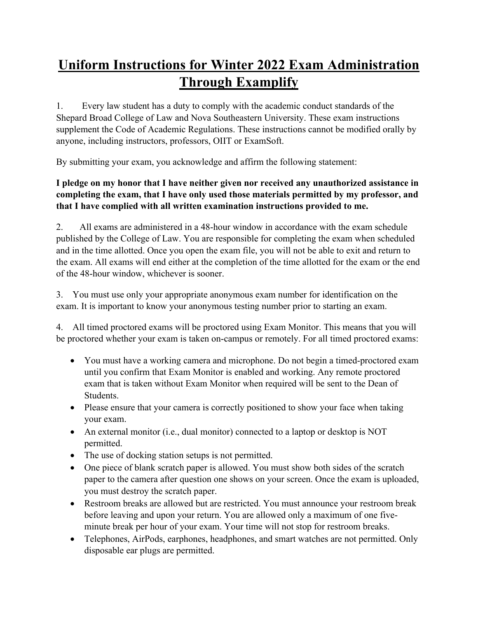## **Uniform Instructions for Winter 2022 Exam Administration Through Examplify**

1. Every law student has a duty to comply with the academic conduct standards of the Shepard Broad College of Law and Nova Southeastern University. These exam instructions supplement the Code of Academic Regulations. These instructions cannot be modified orally by anyone, including instructors, professors, OIIT or ExamSoft.

By submitting your exam, you acknowledge and affirm the following statement:

## **I pledge on my honor that I have neither given nor received any unauthorized assistance in completing the exam, that I have only used those materials permitted by my professor, and that I have complied with all written examination instructions provided to me.**

2. All exams are administered in a 48-hour window in accordance with the exam schedule published by the College of Law. You are responsible for completing the exam when scheduled and in the time allotted. Once you open the exam file, you will not be able to exit and return to the exam. All exams will end either at the completion of the time allotted for the exam or the end of the 48-hour window, whichever is sooner.

3. You must use only your appropriate anonymous exam number for identification on the exam. It is important to know your anonymous testing number prior to starting an exam.

4. All timed proctored exams will be proctored using Exam Monitor. This means that you will be proctored whether your exam is taken on-campus or remotely. For all timed proctored exams:

- You must have a working camera and microphone. Do not begin a timed-proctored exam until you confirm that Exam Monitor is enabled and working. Any remote proctored exam that is taken without Exam Monitor when required will be sent to the Dean of Students.
- Please ensure that your camera is correctly positioned to show your face when taking your exam.
- An external monitor (i.e., dual monitor) connected to a laptop or desktop is NOT permitted.
- The use of docking station setups is not permitted.
- One piece of blank scratch paper is allowed. You must show both sides of the scratch paper to the camera after question one shows on your screen. Once the exam is uploaded, you must destroy the scratch paper.
- Restroom breaks are allowed but are restricted. You must announce your restroom break before leaving and upon your return. You are allowed only a maximum of one fiveminute break per hour of your exam. Your time will not stop for restroom breaks.
- Telephones, AirPods, earphones, headphones, and smart watches are not permitted. Only disposable ear plugs are permitted.